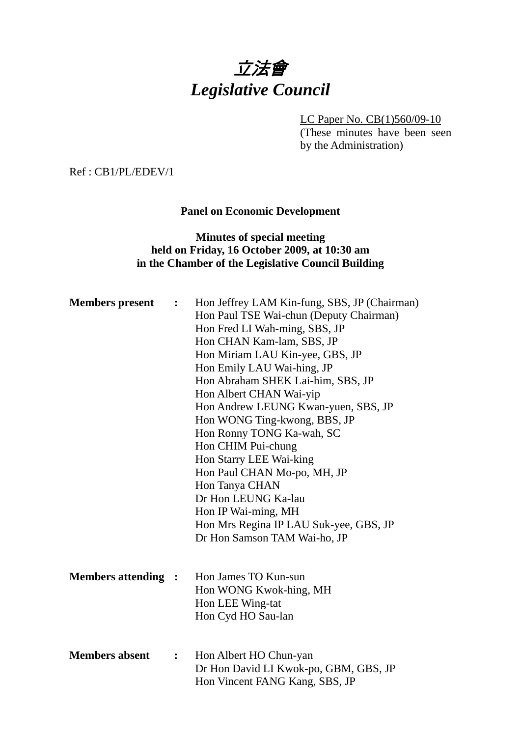# 立法會 *Legislative Council*

LC Paper No. CB(1)560/09-10

(These minutes have been seen by the Administration)

Ref : CB1/PL/EDEV/1

**Panel on Economic Development** 

## **Minutes of special meeting held on Friday, 16 October 2009, at 10:30 am in the Chamber of the Legislative Council Building**

| <b>Members</b> present     | $\ddot{\cdot}$   | Hon Jeffrey LAM Kin-fung, SBS, JP (Chairman)<br>Hon Paul TSE Wai-chun (Deputy Chairman)<br>Hon Fred LI Wah-ming, SBS, JP<br>Hon CHAN Kam-lam, SBS, JP<br>Hon Miriam LAU Kin-yee, GBS, JP<br>Hon Emily LAU Wai-hing, JP<br>Hon Abraham SHEK Lai-him, SBS, JP<br>Hon Albert CHAN Wai-yip<br>Hon Andrew LEUNG Kwan-yuen, SBS, JP<br>Hon WONG Ting-kwong, BBS, JP<br>Hon Ronny TONG Ka-wah, SC<br>Hon CHIM Pui-chung<br>Hon Starry LEE Wai-king |
|----------------------------|------------------|---------------------------------------------------------------------------------------------------------------------------------------------------------------------------------------------------------------------------------------------------------------------------------------------------------------------------------------------------------------------------------------------------------------------------------------------|
|                            |                  | Hon Paul CHAN Mo-po, MH, JP<br>Hon Tanya CHAN                                                                                                                                                                                                                                                                                                                                                                                               |
|                            |                  | Dr Hon LEUNG Ka-lau                                                                                                                                                                                                                                                                                                                                                                                                                         |
|                            |                  | Hon IP Wai-ming, MH                                                                                                                                                                                                                                                                                                                                                                                                                         |
|                            |                  | Hon Mrs Regina IP LAU Suk-yee, GBS, JP<br>Dr Hon Samson TAM Wai-ho, JP                                                                                                                                                                                                                                                                                                                                                                      |
|                            |                  |                                                                                                                                                                                                                                                                                                                                                                                                                                             |
| <b>Members attending :</b> |                  | Hon James TO Kun-sun                                                                                                                                                                                                                                                                                                                                                                                                                        |
|                            |                  | Hon WONG Kwok-hing, MH<br>Hon LEE Wing-tat                                                                                                                                                                                                                                                                                                                                                                                                  |
|                            |                  | Hon Cyd HO Sau-lan                                                                                                                                                                                                                                                                                                                                                                                                                          |
|                            |                  |                                                                                                                                                                                                                                                                                                                                                                                                                                             |
| <b>Members absent</b>      | $\ddot{\bullet}$ | Hon Albert HO Chun-yan                                                                                                                                                                                                                                                                                                                                                                                                                      |
|                            |                  | Dr Hon David LI Kwok-po, GBM, GBS, JP                                                                                                                                                                                                                                                                                                                                                                                                       |
|                            |                  | Hon Vincent FANG Kang, SBS, JP                                                                                                                                                                                                                                                                                                                                                                                                              |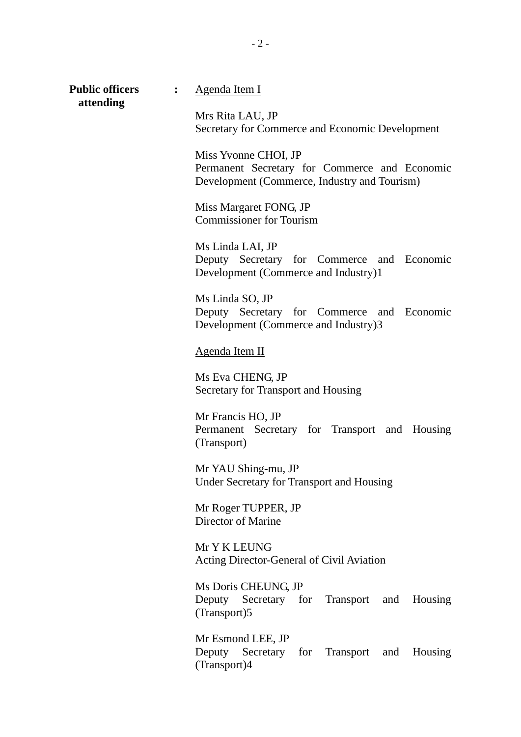**attending**

**Public officers : Agenda Item I** 

Mrs Rita LAU, JP Secretary for Commerce and Economic Development

Miss Yvonne CHOI, JP Permanent Secretary for Commerce and Economic Development (Commerce, Industry and Tourism)

Miss Margaret FONG, JP Commissioner for Tourism

Ms Linda LAI, JP Deputy Secretary for Commerce and Economic Development (Commerce and Industry)1

Ms Linda SO, JP Deputy Secretary for Commerce and Economic Development (Commerce and Industry)3

Agenda Item II

Ms Eva CHENG, JP Secretary for Transport and Housing

Mr Francis HO, JP Permanent Secretary for Transport and Housing (Transport)

Mr YAU Shing-mu, JP Under Secretary for Transport and Housing

Mr Roger TUPPER, JP Director of Marine

Mr Y K LEUNG Acting Director-General of Civil Aviation

Ms Doris CHEUNG, JP Deputy Secretary for Transport and Housing (Transport)5

Mr Esmond LEE, JP Deputy Secretary for Transport and Housing (Transport)4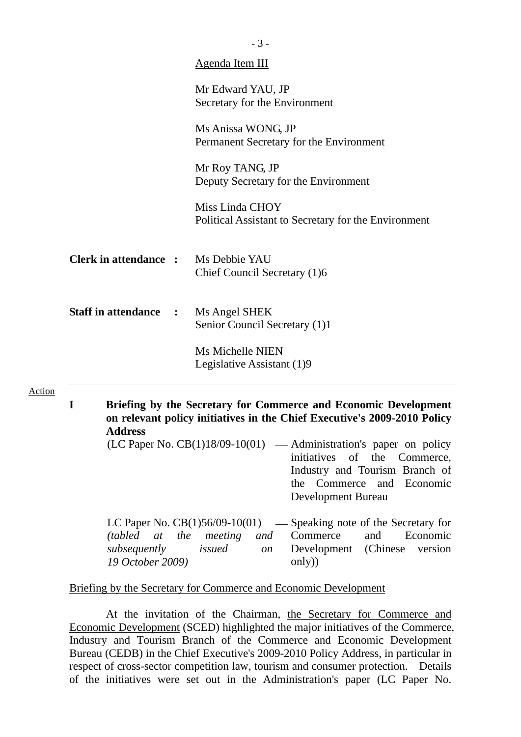|                              | Agenda Item III                                                         |
|------------------------------|-------------------------------------------------------------------------|
|                              | Mr Edward YAU, JP<br>Secretary for the Environment                      |
|                              | Ms Anissa WONG, JP<br>Permanent Secretary for the Environment           |
|                              | Mr Roy TANG, JP<br>Deputy Secretary for the Environment                 |
|                              | Miss Linda CHOY<br>Political Assistant to Secretary for the Environment |
| <b>Clerk in attendance :</b> | Ms Debbie YAU<br>Chief Council Secretary (1)6                           |
| <b>Staff in attendance</b>   | Ms Angel SHEK<br>$\mathbf{r}$<br>Senior Council Secretary (1)1          |
|                              | Ms Michelle NIEN<br>Legislative Assistant (1)9                          |

| (LC Paper No. $CB(1)18/09-10(01)$ — Administration's paper on policy |
|----------------------------------------------------------------------|
| initiatives of the Commerce,                                         |
| Industry and Tourism Branch of                                       |
| the Commerce and Economic                                            |
| Development Bureau                                                   |
|                                                                      |

|                  |  |  | LC Paper No. $CB(1)56/09-10(01)$ — Speaking note of the Secretary for |  |
|------------------|--|--|-----------------------------------------------------------------------|--|
|                  |  |  | <i>(tabled at the meeting and Commerce and Economic</i>               |  |
|                  |  |  | subsequently issued on Development (Chinese version                   |  |
| 19 October 2009) |  |  | only)                                                                 |  |

#### Briefing by the Secretary for Commerce and Economic Development

 At the invitation of the Chairman, the Secretary for Commerce and Economic Development (SCED) highlighted the major initiatives of the Commerce, Industry and Tourism Branch of the Commerce and Economic Development Bureau (CEDB) in the Chief Executive's 2009-2010 Policy Address, in particular in respect of cross-sector competition law, tourism and consumer protection. Details of the initiatives were set out in the Administration's paper (LC Paper No.

- 3 -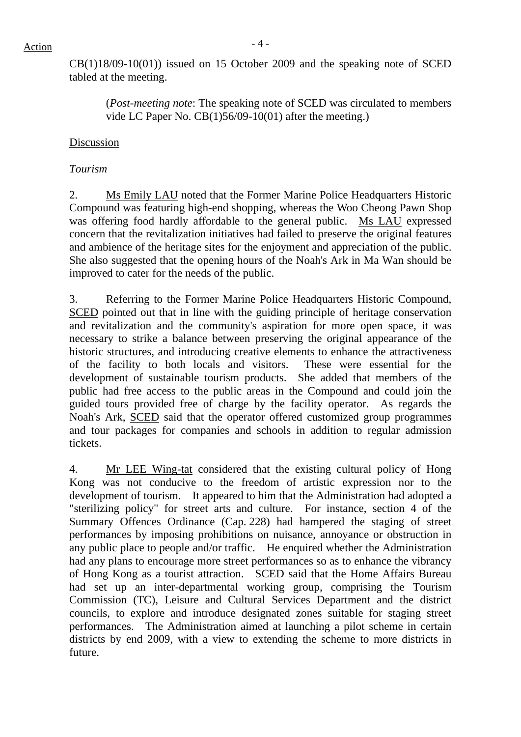$CB(1)18/09-10(01)$  issued on 15 October 2009 and the speaking note of SCED tabled at the meeting.

(*Post-meeting note*: The speaking note of SCED was circulated to members vide LC Paper No. CB(1)56/09-10(01) after the meeting.)

#### Discussion

#### *Tourism*

2. Ms Emily LAU noted that the Former Marine Police Headquarters Historic Compound was featuring high-end shopping, whereas the Woo Cheong Pawn Shop was offering food hardly affordable to the general public. Ms LAU expressed concern that the revitalization initiatives had failed to preserve the original features and ambience of the heritage sites for the enjoyment and appreciation of the public. She also suggested that the opening hours of the Noah's Ark in Ma Wan should be improved to cater for the needs of the public.

3. Referring to the Former Marine Police Headquarters Historic Compound, SCED pointed out that in line with the guiding principle of heritage conservation and revitalization and the community's aspiration for more open space, it was necessary to strike a balance between preserving the original appearance of the historic structures, and introducing creative elements to enhance the attractiveness of the facility to both locals and visitors. These were essential for the development of sustainable tourism products. She added that members of the public had free access to the public areas in the Compound and could join the guided tours provided free of charge by the facility operator. As regards the Noah's Ark, SCED said that the operator offered customized group programmes and tour packages for companies and schools in addition to regular admission tickets.

4. Mr LEE Wing-tat considered that the existing cultural policy of Hong Kong was not conducive to the freedom of artistic expression nor to the development of tourism. It appeared to him that the Administration had adopted a "sterilizing policy" for street arts and culture. For instance, section 4 of the Summary Offences Ordinance (Cap. 228) had hampered the staging of street performances by imposing prohibitions on nuisance, annoyance or obstruction in any public place to people and/or traffic. He enquired whether the Administration had any plans to encourage more street performances so as to enhance the vibrancy of Hong Kong as a tourist attraction. SCED said that the Home Affairs Bureau had set up an inter-departmental working group, comprising the Tourism Commission (TC), Leisure and Cultural Services Department and the district councils, to explore and introduce designated zones suitable for staging street performances. The Administration aimed at launching a pilot scheme in certain districts by end 2009, with a view to extending the scheme to more districts in future.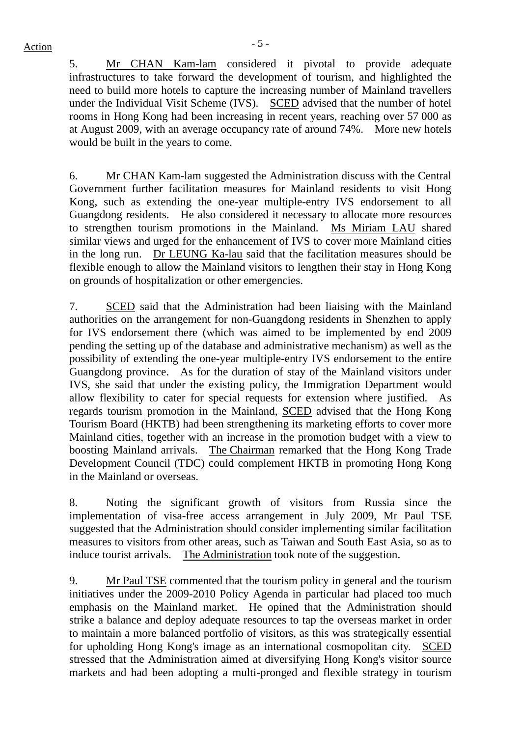5. Mr CHAN Kam-lam considered it pivotal to provide adequate infrastructures to take forward the development of tourism, and highlighted the need to build more hotels to capture the increasing number of Mainland travellers under the Individual Visit Scheme (IVS). SCED advised that the number of hotel rooms in Hong Kong had been increasing in recent years, reaching over 57 000 as at August 2009, with an average occupancy rate of around 74%. More new hotels would be built in the years to come.

6. Mr CHAN Kam-lam suggested the Administration discuss with the Central Government further facilitation measures for Mainland residents to visit Hong Kong, such as extending the one-year multiple-entry IVS endorsement to all Guangdong residents. He also considered it necessary to allocate more resources to strengthen tourism promotions in the Mainland. Ms Miriam LAU shared similar views and urged for the enhancement of IVS to cover more Mainland cities in the long run. Dr LEUNG Ka-lau said that the facilitation measures should be flexible enough to allow the Mainland visitors to lengthen their stay in Hong Kong on grounds of hospitalization or other emergencies.

7. SCED said that the Administration had been liaising with the Mainland authorities on the arrangement for non-Guangdong residents in Shenzhen to apply for IVS endorsement there (which was aimed to be implemented by end 2009 pending the setting up of the database and administrative mechanism) as well as the possibility of extending the one-year multiple-entry IVS endorsement to the entire Guangdong province. As for the duration of stay of the Mainland visitors under IVS, she said that under the existing policy, the Immigration Department would allow flexibility to cater for special requests for extension where justified. As regards tourism promotion in the Mainland, SCED advised that the Hong Kong Tourism Board (HKTB) had been strengthening its marketing efforts to cover more Mainland cities, together with an increase in the promotion budget with a view to boosting Mainland arrivals. The Chairman remarked that the Hong Kong Trade Development Council (TDC) could complement HKTB in promoting Hong Kong in the Mainland or overseas.

8. Noting the significant growth of visitors from Russia since the implementation of visa-free access arrangement in July 2009, Mr Paul TSE suggested that the Administration should consider implementing similar facilitation measures to visitors from other areas, such as Taiwan and South East Asia, so as to induce tourist arrivals. The Administration took note of the suggestion.

9. Mr Paul TSE commented that the tourism policy in general and the tourism initiatives under the 2009-2010 Policy Agenda in particular had placed too much emphasis on the Mainland market. He opined that the Administration should strike a balance and deploy adequate resources to tap the overseas market in order to maintain a more balanced portfolio of visitors, as this was strategically essential for upholding Hong Kong's image as an international cosmopolitan city. SCED stressed that the Administration aimed at diversifying Hong Kong's visitor source markets and had been adopting a multi-pronged and flexible strategy in tourism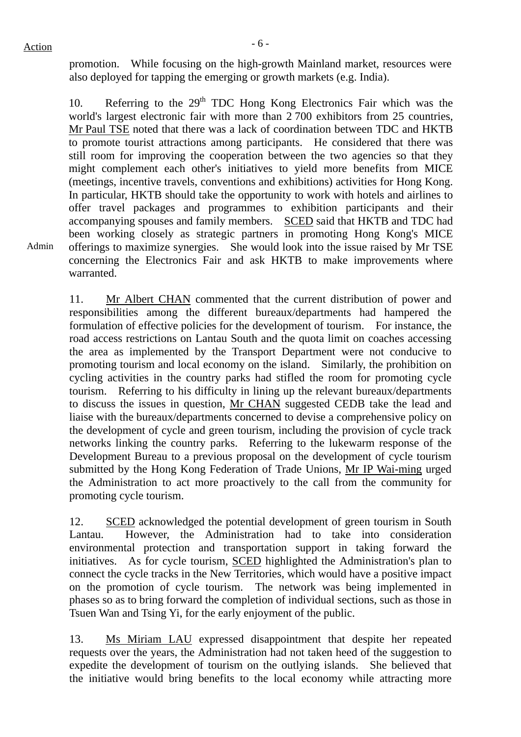promotion. While focusing on the high-growth Mainland market, resources were also deployed for tapping the emerging or growth markets (e.g. India).

10. Referring to the  $29<sup>th</sup> TDC$  Hong Kong Electronics Fair which was the world's largest electronic fair with more than 2 700 exhibitors from 25 countries, Mr Paul TSE noted that there was a lack of coordination between TDC and HKTB to promote tourist attractions among participants. He considered that there was still room for improving the cooperation between the two agencies so that they might complement each other's initiatives to yield more benefits from MICE (meetings, incentive travels, conventions and exhibitions) activities for Hong Kong. In particular, HKTB should take the opportunity to work with hotels and airlines to offer travel packages and programmes to exhibition participants and their accompanying spouses and family members. SCED said that HKTB and TDC had been working closely as strategic partners in promoting Hong Kong's MICE offerings to maximize synergies. She would look into the issue raised by Mr TSE concerning the Electronics Fair and ask HKTB to make improvements where warranted.

11. Mr Albert CHAN commented that the current distribution of power and responsibilities among the different bureaux/departments had hampered the formulation of effective policies for the development of tourism. For instance, the road access restrictions on Lantau South and the quota limit on coaches accessing the area as implemented by the Transport Department were not conducive to promoting tourism and local economy on the island. Similarly, the prohibition on cycling activities in the country parks had stifled the room for promoting cycle tourism. Referring to his difficulty in lining up the relevant bureaux/departments to discuss the issues in question, Mr CHAN suggested CEDB take the lead and liaise with the bureaux/departments concerned to devise a comprehensive policy on the development of cycle and green tourism, including the provision of cycle track networks linking the country parks. Referring to the lukewarm response of the Development Bureau to a previous proposal on the development of cycle tourism submitted by the Hong Kong Federation of Trade Unions, Mr IP Wai-ming urged the Administration to act more proactively to the call from the community for promoting cycle tourism.

12. SCED acknowledged the potential development of green tourism in South Lantau. However, the Administration had to take into consideration environmental protection and transportation support in taking forward the initiatives. As for cycle tourism, SCED highlighted the Administration's plan to connect the cycle tracks in the New Territories, which would have a positive impact on the promotion of cycle tourism. The network was being implemented in phases so as to bring forward the completion of individual sections, such as those in Tsuen Wan and Tsing Yi, for the early enjoyment of the public.

13. Ms Miriam LAU expressed disappointment that despite her repeated requests over the years, the Administration had not taken heed of the suggestion to expedite the development of tourism on the outlying islands. She believed that the initiative would bring benefits to the local economy while attracting more

Admin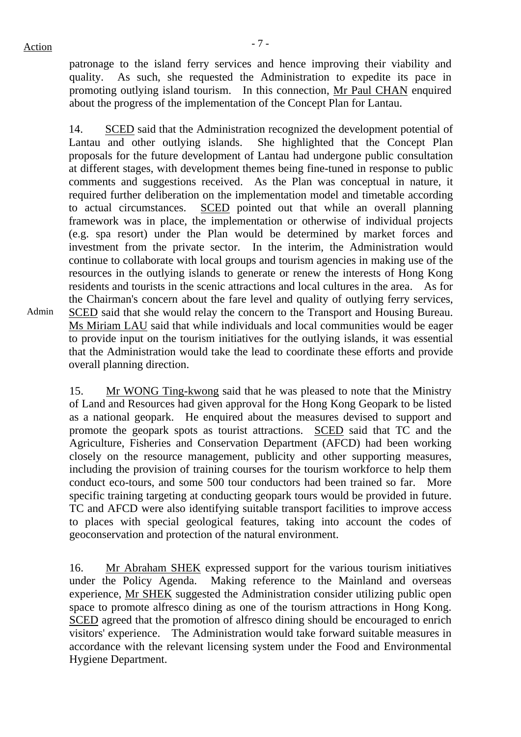$Action$ 

Admin

patronage to the island ferry services and hence improving their viability and quality. As such, she requested the Administration to expedite its pace in promoting outlying island tourism. In this connection, Mr Paul CHAN enquired about the progress of the implementation of the Concept Plan for Lantau.

14. SCED said that the Administration recognized the development potential of Lantau and other outlying islands. She highlighted that the Concept Plan proposals for the future development of Lantau had undergone public consultation at different stages, with development themes being fine-tuned in response to public comments and suggestions received. As the Plan was conceptual in nature, it required further deliberation on the implementation model and timetable according to actual circumstances. SCED pointed out that while an overall planning framework was in place, the implementation or otherwise of individual projects (e.g. spa resort) under the Plan would be determined by market forces and investment from the private sector. In the interim, the Administration would continue to collaborate with local groups and tourism agencies in making use of the resources in the outlying islands to generate or renew the interests of Hong Kong residents and tourists in the scenic attractions and local cultures in the area. As for the Chairman's concern about the fare level and quality of outlying ferry services, SCED said that she would relay the concern to the Transport and Housing Bureau. Ms Miriam LAU said that while individuals and local communities would be eager to provide input on the tourism initiatives for the outlying islands, it was essential that the Administration would take the lead to coordinate these efforts and provide overall planning direction.

15. Mr WONG Ting-kwong said that he was pleased to note that the Ministry of Land and Resources had given approval for the Hong Kong Geopark to be listed as a national geopark. He enquired about the measures devised to support and promote the geopark spots as tourist attractions. SCED said that TC and the Agriculture, Fisheries and Conservation Department (AFCD) had been working closely on the resource management, publicity and other supporting measures, including the provision of training courses for the tourism workforce to help them conduct eco-tours, and some 500 tour conductors had been trained so far. More specific training targeting at conducting geopark tours would be provided in future. TC and AFCD were also identifying suitable transport facilities to improve access to places with special geological features, taking into account the codes of geoconservation and protection of the natural environment.

16. Mr Abraham SHEK expressed support for the various tourism initiatives under the Policy Agenda. Making reference to the Mainland and overseas experience, Mr SHEK suggested the Administration consider utilizing public open space to promote alfresco dining as one of the tourism attractions in Hong Kong. SCED agreed that the promotion of alfresco dining should be encouraged to enrich visitors' experience. The Administration would take forward suitable measures in accordance with the relevant licensing system under the Food and Environmental Hygiene Department.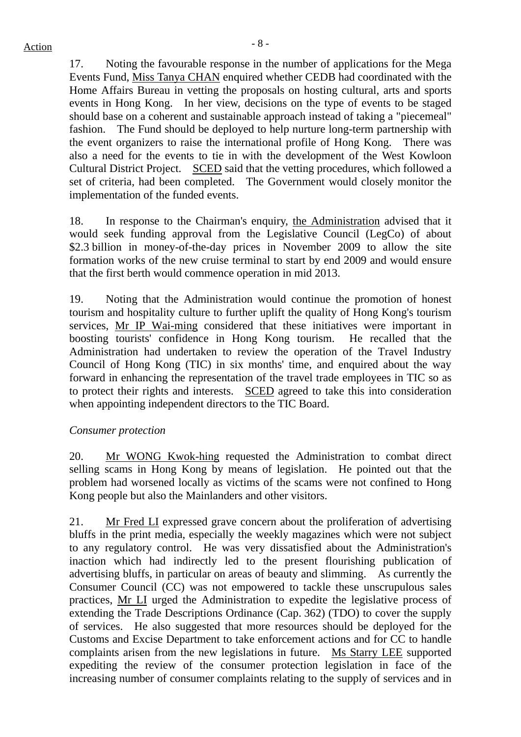17. Noting the favourable response in the number of applications for the Mega Events Fund, Miss Tanya CHAN enquired whether CEDB had coordinated with the Home Affairs Bureau in vetting the proposals on hosting cultural, arts and sports events in Hong Kong. In her view, decisions on the type of events to be staged should base on a coherent and sustainable approach instead of taking a "piecemeal" fashion. The Fund should be deployed to help nurture long-term partnership with the event organizers to raise the international profile of Hong Kong. There was also a need for the events to tie in with the development of the West Kowloon Cultural District Project. SCED said that the vetting procedures, which followed a set of criteria, had been completed. The Government would closely monitor the implementation of the funded events.

18. In response to the Chairman's enquiry, the Administration advised that it would seek funding approval from the Legislative Council (LegCo) of about \$2.3 billion in money-of-the-day prices in November 2009 to allow the site formation works of the new cruise terminal to start by end 2009 and would ensure that the first berth would commence operation in mid 2013.

19. Noting that the Administration would continue the promotion of honest tourism and hospitality culture to further uplift the quality of Hong Kong's tourism services, Mr IP Wai-ming considered that these initiatives were important in boosting tourists' confidence in Hong Kong tourism. He recalled that the Administration had undertaken to review the operation of the Travel Industry Council of Hong Kong (TIC) in six months' time, and enquired about the way forward in enhancing the representation of the travel trade employees in TIC so as to protect their rights and interests. SCED agreed to take this into consideration when appointing independent directors to the TIC Board.

## *Consumer protection*

20. Mr WONG Kwok-hing requested the Administration to combat direct selling scams in Hong Kong by means of legislation. He pointed out that the problem had worsened locally as victims of the scams were not confined to Hong Kong people but also the Mainlanders and other visitors.

21. Mr Fred LI expressed grave concern about the proliferation of advertising bluffs in the print media, especially the weekly magazines which were not subject to any regulatory control. He was very dissatisfied about the Administration's inaction which had indirectly led to the present flourishing publication of advertising bluffs, in particular on areas of beauty and slimming. As currently the Consumer Council (CC) was not empowered to tackle these unscrupulous sales practices, Mr LI urged the Administration to expedite the legislative process of extending the Trade Descriptions Ordinance (Cap. 362) (TDO) to cover the supply of services. He also suggested that more resources should be deployed for the Customs and Excise Department to take enforcement actions and for CC to handle complaints arisen from the new legislations in future. Ms Starry LEE supported expediting the review of the consumer protection legislation in face of the increasing number of consumer complaints relating to the supply of services and in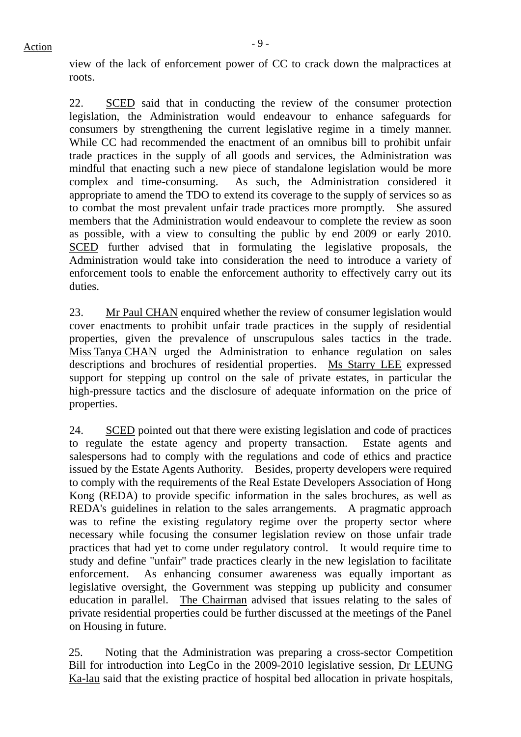22. SCED said that in conducting the review of the consumer protection legislation, the Administration would endeavour to enhance safeguards for consumers by strengthening the current legislative regime in a timely manner. While CC had recommended the enactment of an omnibus bill to prohibit unfair trade practices in the supply of all goods and services, the Administration was mindful that enacting such a new piece of standalone legislation would be more complex and time-consuming. As such, the Administration considered it appropriate to amend the TDO to extend its coverage to the supply of services so as to combat the most prevalent unfair trade practices more promptly. She assured members that the Administration would endeavour to complete the review as soon as possible, with a view to consulting the public by end 2009 or early 2010. SCED further advised that in formulating the legislative proposals, the Administration would take into consideration the need to introduce a variety of enforcement tools to enable the enforcement authority to effectively carry out its duties.

23. Mr Paul CHAN enquired whether the review of consumer legislation would cover enactments to prohibit unfair trade practices in the supply of residential properties, given the prevalence of unscrupulous sales tactics in the trade. Miss Tanya CHAN urged the Administration to enhance regulation on sales descriptions and brochures of residential properties. Ms Starry LEE expressed support for stepping up control on the sale of private estates, in particular the high-pressure tactics and the disclosure of adequate information on the price of properties.

24. SCED pointed out that there were existing legislation and code of practices to regulate the estate agency and property transaction. Estate agents and salespersons had to comply with the regulations and code of ethics and practice issued by the Estate Agents Authority. Besides, property developers were required to comply with the requirements of the Real Estate Developers Association of Hong Kong (REDA) to provide specific information in the sales brochures, as well as REDA's guidelines in relation to the sales arrangements. A pragmatic approach was to refine the existing regulatory regime over the property sector where necessary while focusing the consumer legislation review on those unfair trade practices that had yet to come under regulatory control. It would require time to study and define "unfair" trade practices clearly in the new legislation to facilitate enforcement. As enhancing consumer awareness was equally important as legislative oversight, the Government was stepping up publicity and consumer education in parallel. The Chairman advised that issues relating to the sales of private residential properties could be further discussed at the meetings of the Panel on Housing in future.

25. Noting that the Administration was preparing a cross-sector Competition Bill for introduction into LegCo in the 2009-2010 legislative session, Dr LEUNG Ka-lau said that the existing practice of hospital bed allocation in private hospitals,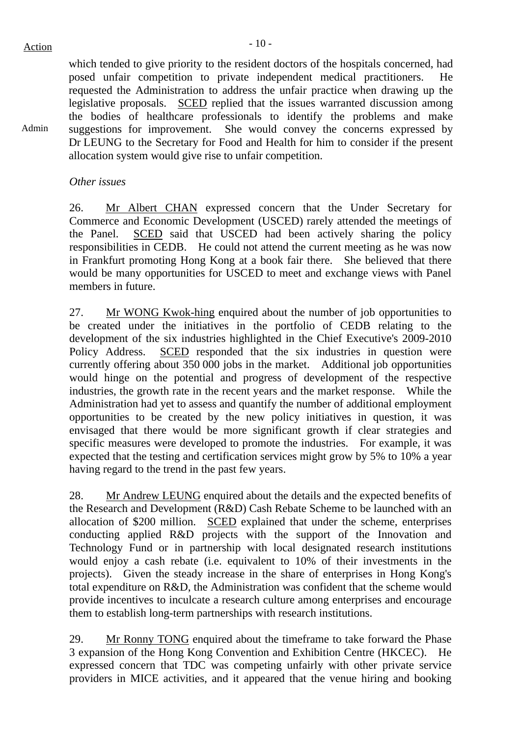Admin

which tended to give priority to the resident doctors of the hospitals concerned, had posed unfair competition to private independent medical practitioners. He requested the Administration to address the unfair practice when drawing up the legislative proposals. SCED replied that the issues warranted discussion among the bodies of healthcare professionals to identify the problems and make suggestions for improvement. She would convey the concerns expressed by Dr LEUNG to the Secretary for Food and Health for him to consider if the present allocation system would give rise to unfair competition.

#### *Other issues*

26. Mr Albert CHAN expressed concern that the Under Secretary for Commerce and Economic Development (USCED) rarely attended the meetings of the Panel. SCED said that USCED had been actively sharing the policy responsibilities in CEDB. He could not attend the current meeting as he was now in Frankfurt promoting Hong Kong at a book fair there. She believed that there would be many opportunities for USCED to meet and exchange views with Panel members in future.

27. Mr WONG Kwok-hing enquired about the number of job opportunities to be created under the initiatives in the portfolio of CEDB relating to the development of the six industries highlighted in the Chief Executive's 2009-2010 Policy Address. SCED responded that the six industries in question were currently offering about 350 000 jobs in the market. Additional job opportunities would hinge on the potential and progress of development of the respective industries, the growth rate in the recent years and the market response. While the Administration had yet to assess and quantify the number of additional employment opportunities to be created by the new policy initiatives in question, it was envisaged that there would be more significant growth if clear strategies and specific measures were developed to promote the industries. For example, it was expected that the testing and certification services might grow by 5% to 10% a year having regard to the trend in the past few years.

28. Mr Andrew LEUNG enquired about the details and the expected benefits of the Research and Development (R&D) Cash Rebate Scheme to be launched with an allocation of \$200 million. SCED explained that under the scheme, enterprises conducting applied R&D projects with the support of the Innovation and Technology Fund or in partnership with local designated research institutions would enjoy a cash rebate (i.e. equivalent to 10% of their investments in the projects). Given the steady increase in the share of enterprises in Hong Kong's total expenditure on R&D, the Administration was confident that the scheme would provide incentives to inculcate a research culture among enterprises and encourage them to establish long-term partnerships with research institutions.

29. Mr Ronny TONG enquired about the timeframe to take forward the Phase 3 expansion of the Hong Kong Convention and Exhibition Centre (HKCEC). He expressed concern that TDC was competing unfairly with other private service providers in MICE activities, and it appeared that the venue hiring and booking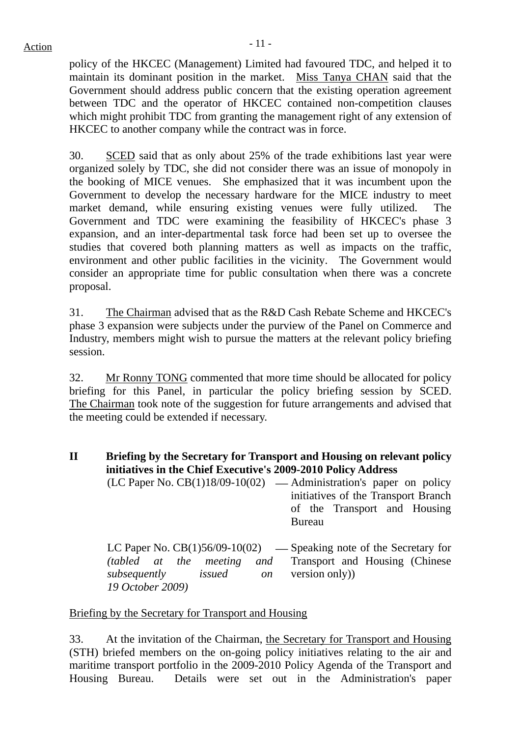$Action$ 

policy of the HKCEC (Management) Limited had favoured TDC, and helped it to maintain its dominant position in the market. Miss Tanya CHAN said that the Government should address public concern that the existing operation agreement between TDC and the operator of HKCEC contained non-competition clauses which might prohibit TDC from granting the management right of any extension of HKCEC to another company while the contract was in force.

30. SCED said that as only about 25% of the trade exhibitions last year were organized solely by TDC, she did not consider there was an issue of monopoly in the booking of MICE venues. She emphasized that it was incumbent upon the Government to develop the necessary hardware for the MICE industry to meet market demand, while ensuring existing venues were fully utilized. The Government and TDC were examining the feasibility of HKCEC's phase 3 expansion, and an inter-departmental task force had been set up to oversee the studies that covered both planning matters as well as impacts on the traffic, environment and other public facilities in the vicinity. The Government would consider an appropriate time for public consultation when there was a concrete proposal.

31. The Chairman advised that as the R&D Cash Rebate Scheme and HKCEC's phase 3 expansion were subjects under the purview of the Panel on Commerce and Industry, members might wish to pursue the matters at the relevant policy briefing session.

32. Mr Ronny TONG commented that more time should be allocated for policy briefing for this Panel, in particular the policy briefing session by SCED. The Chairman took note of the suggestion for future arrangements and advised that the meeting could be extended if necessary.

- **II Briefing by the Secretary for Transport and Housing on relevant policy initiatives in the Chief Executive's 2009-2010 Policy Address** 
	- $(LC$  Paper No.  $CB(1)18/09-10(02)$  Administration's paper on policy initiatives of the Transport Branch of the Transport and Housing Bureau

LC Paper No. CB(1)56/09-10(02) *(tabled at the meeting and subsequently issued on 19 October 2009)*  ⎯ Speaking note of the Secretary for Transport and Housing (Chinese version only))

## Briefing by the Secretary for Transport and Housing

33. At the invitation of the Chairman, the Secretary for Transport and Housing (STH) briefed members on the on-going policy initiatives relating to the air and maritime transport portfolio in the 2009-2010 Policy Agenda of the Transport and Housing Bureau. Details were set out in the Administration's paper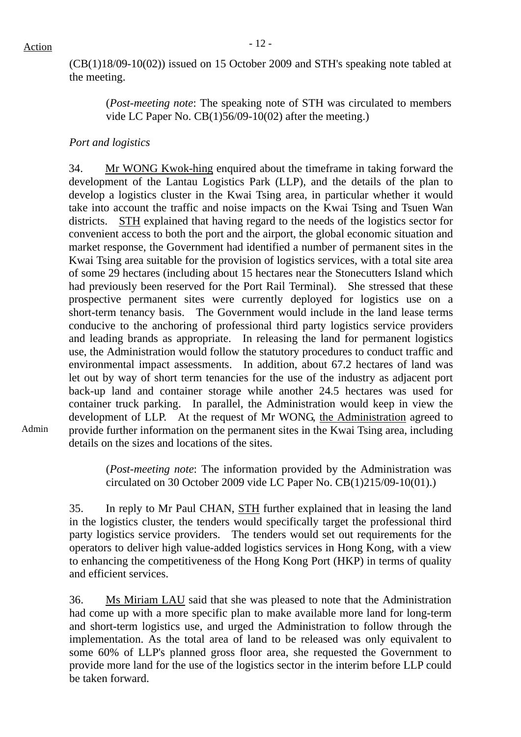Admin

(CB(1)18/09-10(02)) issued on 15 October 2009 and STH's speaking note tabled at the meeting.

(*Post-meeting note*: The speaking note of STH was circulated to members vide LC Paper No. CB(1)56/09-10(02) after the meeting.)

## *Port and logistics*

34. Mr WONG Kwok-hing enquired about the timeframe in taking forward the development of the Lantau Logistics Park (LLP), and the details of the plan to develop a logistics cluster in the Kwai Tsing area, in particular whether it would take into account the traffic and noise impacts on the Kwai Tsing and Tsuen Wan districts. STH explained that having regard to the needs of the logistics sector for convenient access to both the port and the airport, the global economic situation and market response, the Government had identified a number of permanent sites in the Kwai Tsing area suitable for the provision of logistics services, with a total site area of some 29 hectares (including about 15 hectares near the Stonecutters Island which had previously been reserved for the Port Rail Terminal). She stressed that these prospective permanent sites were currently deployed for logistics use on a short-term tenancy basis. The Government would include in the land lease terms conducive to the anchoring of professional third party logistics service providers and leading brands as appropriate. In releasing the land for permanent logistics use, the Administration would follow the statutory procedures to conduct traffic and environmental impact assessments. In addition, about 67.2 hectares of land was let out by way of short term tenancies for the use of the industry as adjacent port back-up land and container storage while another 24.5 hectares was used for container truck parking. In parallel, the Administration would keep in view the development of LLP. At the request of Mr WONG, the Administration agreed to provide further information on the permanent sites in the Kwai Tsing area, including details on the sizes and locations of the sites.

(*Post-meeting note*: The information provided by the Administration was circulated on 30 October 2009 vide LC Paper No. CB(1)215/09-10(01).)

35. In reply to Mr Paul CHAN, STH further explained that in leasing the land in the logistics cluster, the tenders would specifically target the professional third party logistics service providers. The tenders would set out requirements for the operators to deliver high value-added logistics services in Hong Kong, with a view to enhancing the competitiveness of the Hong Kong Port (HKP) in terms of quality and efficient services.

36. Ms Miriam LAU said that she was pleased to note that the Administration had come up with a more specific plan to make available more land for long-term and short-term logistics use, and urged the Administration to follow through the implementation. As the total area of land to be released was only equivalent to some 60% of LLP's planned gross floor area, she requested the Government to provide more land for the use of the logistics sector in the interim before LLP could be taken forward.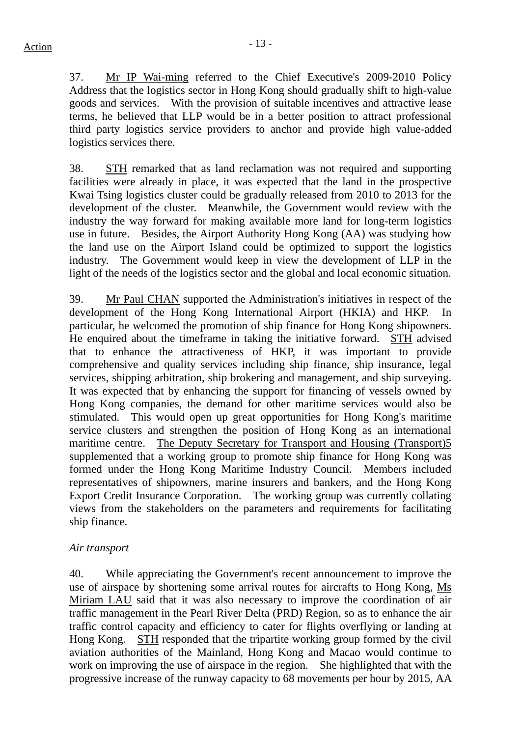37. Mr IP Wai-ming referred to the Chief Executive's 2009-2010 Policy Address that the logistics sector in Hong Kong should gradually shift to high-value goods and services. With the provision of suitable incentives and attractive lease terms, he believed that LLP would be in a better position to attract professional third party logistics service providers to anchor and provide high value-added logistics services there.

38. STH remarked that as land reclamation was not required and supporting facilities were already in place, it was expected that the land in the prospective Kwai Tsing logistics cluster could be gradually released from 2010 to 2013 for the development of the cluster. Meanwhile, the Government would review with the industry the way forward for making available more land for long-term logistics use in future. Besides, the Airport Authority Hong Kong (AA) was studying how the land use on the Airport Island could be optimized to support the logistics industry. The Government would keep in view the development of LLP in the light of the needs of the logistics sector and the global and local economic situation.

39. Mr Paul CHAN supported the Administration's initiatives in respect of the development of the Hong Kong International Airport (HKIA) and HKP. In particular, he welcomed the promotion of ship finance for Hong Kong shipowners. He enquired about the timeframe in taking the initiative forward. STH advised that to enhance the attractiveness of HKP, it was important to provide comprehensive and quality services including ship finance, ship insurance, legal services, shipping arbitration, ship brokering and management, and ship surveying. It was expected that by enhancing the support for financing of vessels owned by Hong Kong companies, the demand for other maritime services would also be stimulated. This would open up great opportunities for Hong Kong's maritime service clusters and strengthen the position of Hong Kong as an international maritime centre. The Deputy Secretary for Transport and Housing (Transport)5 supplemented that a working group to promote ship finance for Hong Kong was formed under the Hong Kong Maritime Industry Council. Members included representatives of shipowners, marine insurers and bankers, and the Hong Kong Export Credit Insurance Corporation. The working group was currently collating views from the stakeholders on the parameters and requirements for facilitating ship finance.

## *Air transport*

40. While appreciating the Government's recent announcement to improve the use of airspace by shortening some arrival routes for aircrafts to Hong Kong, Ms Miriam LAU said that it was also necessary to improve the coordination of air traffic management in the Pearl River Delta (PRD) Region, so as to enhance the air traffic control capacity and efficiency to cater for flights overflying or landing at Hong Kong. STH responded that the tripartite working group formed by the civil aviation authorities of the Mainland, Hong Kong and Macao would continue to work on improving the use of airspace in the region. She highlighted that with the progressive increase of the runway capacity to 68 movements per hour by 2015, AA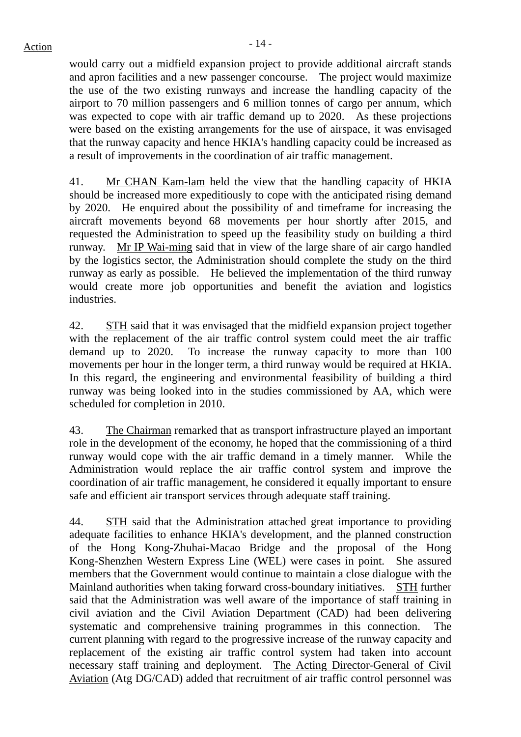would carry out a midfield expansion project to provide additional aircraft stands and apron facilities and a new passenger concourse. The project would maximize the use of the two existing runways and increase the handling capacity of the airport to 70 million passengers and 6 million tonnes of cargo per annum, which was expected to cope with air traffic demand up to 2020. As these projections were based on the existing arrangements for the use of airspace, it was envisaged that the runway capacity and hence HKIA's handling capacity could be increased as a result of improvements in the coordination of air traffic management.

41. Mr CHAN Kam-lam held the view that the handling capacity of HKIA should be increased more expeditiously to cope with the anticipated rising demand by 2020. He enquired about the possibility of and timeframe for increasing the aircraft movements beyond 68 movements per hour shortly after 2015, and requested the Administration to speed up the feasibility study on building a third runway. Mr IP Wai-ming said that in view of the large share of air cargo handled by the logistics sector, the Administration should complete the study on the third runway as early as possible. He believed the implementation of the third runway would create more job opportunities and benefit the aviation and logistics industries.

42. STH said that it was envisaged that the midfield expansion project together with the replacement of the air traffic control system could meet the air traffic demand up to 2020. To increase the runway capacity to more than 100 movements per hour in the longer term, a third runway would be required at HKIA. In this regard, the engineering and environmental feasibility of building a third runway was being looked into in the studies commissioned by AA, which were scheduled for completion in 2010.

43. The Chairman remarked that as transport infrastructure played an important role in the development of the economy, he hoped that the commissioning of a third runway would cope with the air traffic demand in a timely manner. While the Administration would replace the air traffic control system and improve the coordination of air traffic management, he considered it equally important to ensure safe and efficient air transport services through adequate staff training.

44. STH said that the Administration attached great importance to providing adequate facilities to enhance HKIA's development, and the planned construction of the Hong Kong-Zhuhai-Macao Bridge and the proposal of the Hong Kong-Shenzhen Western Express Line (WEL) were cases in point. She assured members that the Government would continue to maintain a close dialogue with the Mainland authorities when taking forward cross-boundary initiatives. STH further said that the Administration was well aware of the importance of staff training in civil aviation and the Civil Aviation Department (CAD) had been delivering systematic and comprehensive training programmes in this connection. The current planning with regard to the progressive increase of the runway capacity and replacement of the existing air traffic control system had taken into account necessary staff training and deployment. The Acting Director-General of Civil Aviation (Atg DG/CAD) added that recruitment of air traffic control personnel was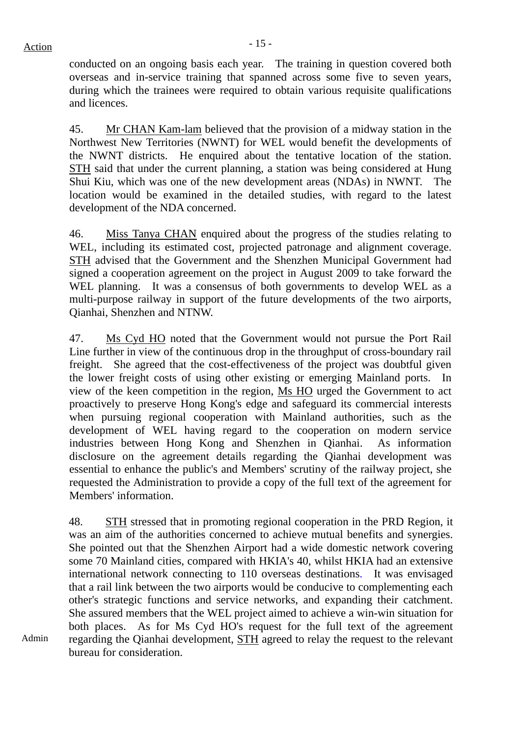conducted on an ongoing basis each year. The training in question covered both overseas and in-service training that spanned across some five to seven years, during which the trainees were required to obtain various requisite qualifications and licences.

45. Mr CHAN Kam-lam believed that the provision of a midway station in the Northwest New Territories (NWNT) for WEL would benefit the developments of the NWNT districts. He enquired about the tentative location of the station. STH said that under the current planning, a station was being considered at Hung Shui Kiu, which was one of the new development areas (NDAs) in NWNT. The location would be examined in the detailed studies, with regard to the latest development of the NDA concerned.

46. Miss Tanya CHAN enquired about the progress of the studies relating to WEL, including its estimated cost, projected patronage and alignment coverage. STH advised that the Government and the Shenzhen Municipal Government had signed a cooperation agreement on the project in August 2009 to take forward the WEL planning. It was a consensus of both governments to develop WEL as a multi-purpose railway in support of the future developments of the two airports, Qianhai, Shenzhen and NTNW.

47. Ms Cyd HO noted that the Government would not pursue the Port Rail Line further in view of the continuous drop in the throughput of cross-boundary rail freight. She agreed that the cost-effectiveness of the project was doubtful given the lower freight costs of using other existing or emerging Mainland ports. In view of the keen competition in the region, Ms HO urged the Government to act proactively to preserve Hong Kong's edge and safeguard its commercial interests when pursuing regional cooperation with Mainland authorities, such as the development of WEL having regard to the cooperation on modern service industries between Hong Kong and Shenzhen in Qianhai. As information disclosure on the agreement details regarding the Qianhai development was essential to enhance the public's and Members' scrutiny of the railway project, she requested the Administration to provide a copy of the full text of the agreement for Members' information.

48. STH stressed that in promoting regional cooperation in the PRD Region, it was an aim of the authorities concerned to achieve mutual benefits and synergies. She pointed out that the Shenzhen Airport had a wide domestic network covering some 70 Mainland cities, compared with HKIA's 40, whilst HKIA had an extensive international network connecting to 110 overseas destinations. It was envisaged that a rail link between the two airports would be conducive to complementing each other's strategic functions and service networks, and expanding their catchment. She assured members that the WEL project aimed to achieve a win-win situation for both places. As for Ms Cyd HO's request for the full text of the agreement regarding the Qianhai development, STH agreed to relay the request to the relevant bureau for consideration.

Admin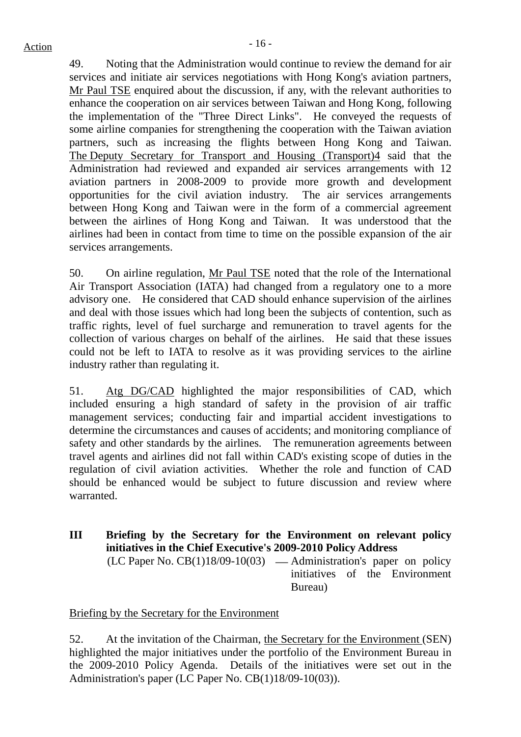49. Noting that the Administration would continue to review the demand for air services and initiate air services negotiations with Hong Kong's aviation partners, Mr Paul TSE enquired about the discussion, if any, with the relevant authorities to enhance the cooperation on air services between Taiwan and Hong Kong, following the implementation of the "Three Direct Links". He conveyed the requests of some airline companies for strengthening the cooperation with the Taiwan aviation partners, such as increasing the flights between Hong Kong and Taiwan. The Deputy Secretary for Transport and Housing (Transport)4 said that the Administration had reviewed and expanded air services arrangements with 12 aviation partners in 2008-2009 to provide more growth and development opportunities for the civil aviation industry. The air services arrangements between Hong Kong and Taiwan were in the form of a commercial agreement between the airlines of Hong Kong and Taiwan. It was understood that the airlines had been in contact from time to time on the possible expansion of the air services arrangements.

50. On airline regulation, Mr Paul TSE noted that the role of the International Air Transport Association (IATA) had changed from a regulatory one to a more advisory one. He considered that CAD should enhance supervision of the airlines and deal with those issues which had long been the subjects of contention, such as traffic rights, level of fuel surcharge and remuneration to travel agents for the collection of various charges on behalf of the airlines. He said that these issues could not be left to IATA to resolve as it was providing services to the airline industry rather than regulating it.

51. Atg DG/CAD highlighted the major responsibilities of CAD, which included ensuring a high standard of safety in the provision of air traffic management services; conducting fair and impartial accident investigations to determine the circumstances and causes of accidents; and monitoring compliance of safety and other standards by the airlines. The remuneration agreements between travel agents and airlines did not fall within CAD's existing scope of duties in the regulation of civil aviation activities. Whether the role and function of CAD should be enhanced would be subject to future discussion and review where warranted.

**III Briefing by the Secretary for the Environment on relevant policy initiatives in the Chief Executive's 2009-2010 Policy Address**   $(LC$  Paper No.  $CB(1)18/09-10(03)$  — Administration's paper on policy initiatives of the Environment Bureau)

## Briefing by the Secretary for the Environment

52. At the invitation of the Chairman, the Secretary for the Environment (SEN) highlighted the major initiatives under the portfolio of the Environment Bureau in the 2009-2010 Policy Agenda. Details of the initiatives were set out in the Administration's paper (LC Paper No. CB(1)18/09-10(03)).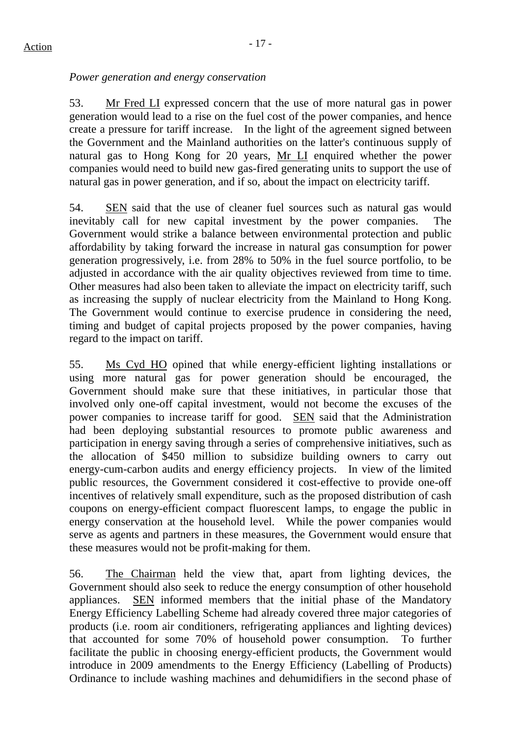## *Power generation and energy conservation*

53. Mr Fred LI expressed concern that the use of more natural gas in power generation would lead to a rise on the fuel cost of the power companies, and hence create a pressure for tariff increase. In the light of the agreement signed between the Government and the Mainland authorities on the latter's continuous supply of natural gas to Hong Kong for 20 years, Mr LI enquired whether the power companies would need to build new gas-fired generating units to support the use of natural gas in power generation, and if so, about the impact on electricity tariff.

54. SEN said that the use of cleaner fuel sources such as natural gas would inevitably call for new capital investment by the power companies. The Government would strike a balance between environmental protection and public affordability by taking forward the increase in natural gas consumption for power generation progressively, i.e. from 28% to 50% in the fuel source portfolio, to be adjusted in accordance with the air quality objectives reviewed from time to time. Other measures had also been taken to alleviate the impact on electricity tariff, such as increasing the supply of nuclear electricity from the Mainland to Hong Kong. The Government would continue to exercise prudence in considering the need, timing and budget of capital projects proposed by the power companies, having regard to the impact on tariff.

55. Ms Cyd HO opined that while energy-efficient lighting installations or using more natural gas for power generation should be encouraged, the Government should make sure that these initiatives, in particular those that involved only one-off capital investment, would not become the excuses of the power companies to increase tariff for good. SEN said that the Administration had been deploying substantial resources to promote public awareness and participation in energy saving through a series of comprehensive initiatives, such as the allocation of \$450 million to subsidize building owners to carry out energy-cum-carbon audits and energy efficiency projects. In view of the limited public resources, the Government considered it cost-effective to provide one-off incentives of relatively small expenditure, such as the proposed distribution of cash coupons on energy-efficient compact fluorescent lamps, to engage the public in energy conservation at the household level. While the power companies would serve as agents and partners in these measures, the Government would ensure that these measures would not be profit-making for them.

56. The Chairman held the view that, apart from lighting devices, the Government should also seek to reduce the energy consumption of other household appliances. SEN informed members that the initial phase of the Mandatory Energy Efficiency Labelling Scheme had already covered three major categories of products (i.e. room air conditioners, refrigerating appliances and lighting devices) that accounted for some 70% of household power consumption. To further facilitate the public in choosing energy-efficient products, the Government would introduce in 2009 amendments to the Energy Efficiency (Labelling of Products) Ordinance to include washing machines and dehumidifiers in the second phase of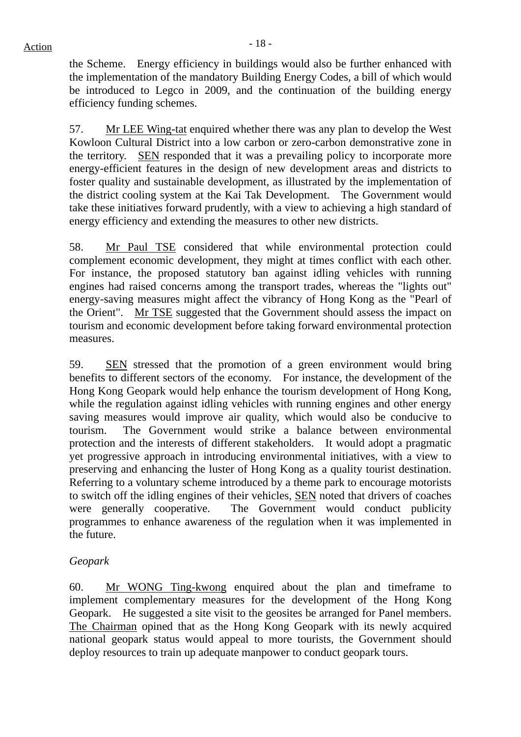the Scheme. Energy efficiency in buildings would also be further enhanced with the implementation of the mandatory Building Energy Codes, a bill of which would be introduced to Legco in 2009, and the continuation of the building energy efficiency funding schemes.

57. Mr LEE Wing-tat enquired whether there was any plan to develop the West Kowloon Cultural District into a low carbon or zero-carbon demonstrative zone in the territory. SEN responded that it was a prevailing policy to incorporate more energy-efficient features in the design of new development areas and districts to foster quality and sustainable development, as illustrated by the implementation of the district cooling system at the Kai Tak Development. The Government would take these initiatives forward prudently, with a view to achieving a high standard of energy efficiency and extending the measures to other new districts.

58. Mr Paul TSE considered that while environmental protection could complement economic development, they might at times conflict with each other. For instance, the proposed statutory ban against idling vehicles with running engines had raised concerns among the transport trades, whereas the "lights out" energy-saving measures might affect the vibrancy of Hong Kong as the "Pearl of the Orient". Mr TSE suggested that the Government should assess the impact on tourism and economic development before taking forward environmental protection measures.

59. SEN stressed that the promotion of a green environment would bring benefits to different sectors of the economy. For instance, the development of the Hong Kong Geopark would help enhance the tourism development of Hong Kong, while the regulation against idling vehicles with running engines and other energy saving measures would improve air quality, which would also be conducive to tourism. The Government would strike a balance between environmental protection and the interests of different stakeholders. It would adopt a pragmatic yet progressive approach in introducing environmental initiatives, with a view to preserving and enhancing the luster of Hong Kong as a quality tourist destination. Referring to a voluntary scheme introduced by a theme park to encourage motorists to switch off the idling engines of their vehicles, SEN noted that drivers of coaches were generally cooperative. The Government would conduct publicity programmes to enhance awareness of the regulation when it was implemented in the future.

## *Geopark*

60. Mr WONG Ting-kwong enquired about the plan and timeframe to implement complementary measures for the development of the Hong Kong Geopark. He suggested a site visit to the geosites be arranged for Panel members. The Chairman opined that as the Hong Kong Geopark with its newly acquired national geopark status would appeal to more tourists, the Government should deploy resources to train up adequate manpower to conduct geopark tours.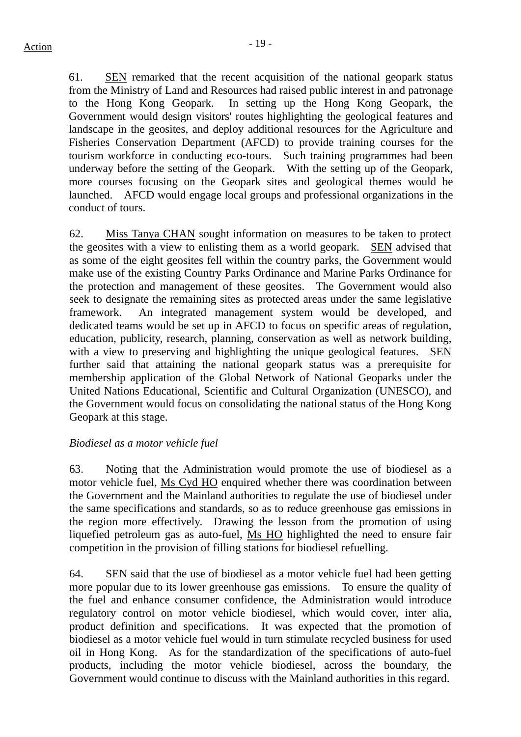61. SEN remarked that the recent acquisition of the national geopark status from the Ministry of Land and Resources had raised public interest in and patronage to the Hong Kong Geopark. In setting up the Hong Kong Geopark, the Government would design visitors' routes highlighting the geological features and landscape in the geosites, and deploy additional resources for the Agriculture and Fisheries Conservation Department (AFCD) to provide training courses for the tourism workforce in conducting eco-tours. Such training programmes had been underway before the setting of the Geopark. With the setting up of the Geopark, more courses focusing on the Geopark sites and geological themes would be launched. AFCD would engage local groups and professional organizations in the conduct of tours.

62. Miss Tanya CHAN sought information on measures to be taken to protect the geosites with a view to enlisting them as a world geopark. SEN advised that as some of the eight geosites fell within the country parks, the Government would make use of the existing Country Parks Ordinance and Marine Parks Ordinance for the protection and management of these geosites. The Government would also seek to designate the remaining sites as protected areas under the same legislative framework. An integrated management system would be developed, and dedicated teams would be set up in AFCD to focus on specific areas of regulation, education, publicity, research, planning, conservation as well as network building, with a view to preserving and highlighting the unique geological features. SEN further said that attaining the national geopark status was a prerequisite for membership application of the Global Network of National Geoparks under the United Nations Educational, Scientific and Cultural Organization (UNESCO), and the Government would focus on consolidating the national status of the Hong Kong Geopark at this stage.

## *Biodiesel as a motor vehicle fuel*

63. Noting that the Administration would promote the use of biodiesel as a motor vehicle fuel, Ms Cyd HO enquired whether there was coordination between the Government and the Mainland authorities to regulate the use of biodiesel under the same specifications and standards, so as to reduce greenhouse gas emissions in the region more effectively. Drawing the lesson from the promotion of using liquefied petroleum gas as auto-fuel, Ms HO highlighted the need to ensure fair competition in the provision of filling stations for biodiesel refuelling.

64. SEN said that the use of biodiesel as a motor vehicle fuel had been getting more popular due to its lower greenhouse gas emissions. To ensure the quality of the fuel and enhance consumer confidence, the Administration would introduce regulatory control on motor vehicle biodiesel, which would cover, inter alia, product definition and specifications. It was expected that the promotion of biodiesel as a motor vehicle fuel would in turn stimulate recycled business for used oil in Hong Kong. As for the standardization of the specifications of auto-fuel products, including the motor vehicle biodiesel, across the boundary, the Government would continue to discuss with the Mainland authorities in this regard.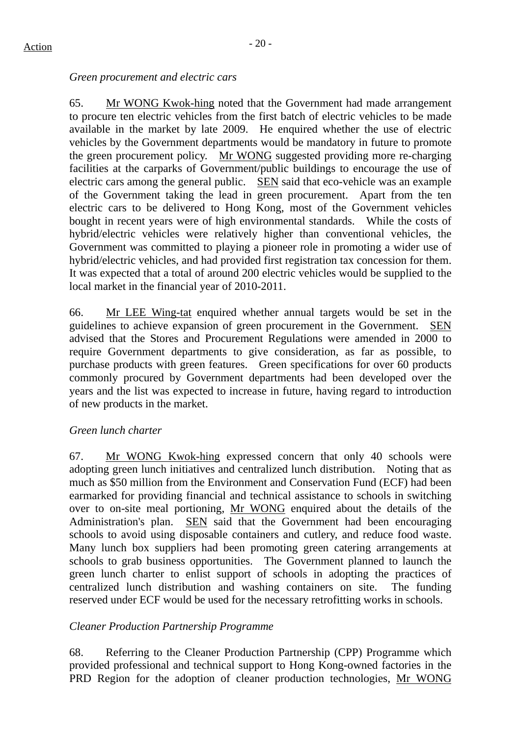## *Green procurement and electric cars*

65. Mr WONG Kwok-hing noted that the Government had made arrangement to procure ten electric vehicles from the first batch of electric vehicles to be made available in the market by late 2009. He enquired whether the use of electric vehicles by the Government departments would be mandatory in future to promote the green procurement policy. Mr WONG suggested providing more re-charging facilities at the carparks of Government/public buildings to encourage the use of electric cars among the general public. SEN said that eco-vehicle was an example of the Government taking the lead in green procurement. Apart from the ten electric cars to be delivered to Hong Kong, most of the Government vehicles bought in recent years were of high environmental standards. While the costs of hybrid/electric vehicles were relatively higher than conventional vehicles, the Government was committed to playing a pioneer role in promoting a wider use of hybrid/electric vehicles, and had provided first registration tax concession for them. It was expected that a total of around 200 electric vehicles would be supplied to the local market in the financial year of 2010-2011.

66. Mr LEE Wing-tat enquired whether annual targets would be set in the guidelines to achieve expansion of green procurement in the Government. SEN advised that the Stores and Procurement Regulations were amended in 2000 to require Government departments to give consideration, as far as possible, to purchase products with green features. Green specifications for over 60 products commonly procured by Government departments had been developed over the years and the list was expected to increase in future, having regard to introduction of new products in the market.

## *Green lunch charter*

67. Mr WONG Kwok-hing expressed concern that only 40 schools were adopting green lunch initiatives and centralized lunch distribution. Noting that as much as \$50 million from the Environment and Conservation Fund (ECF) had been earmarked for providing financial and technical assistance to schools in switching over to on-site meal portioning, Mr WONG enquired about the details of the Administration's plan. SEN said that the Government had been encouraging schools to avoid using disposable containers and cutlery, and reduce food waste. Many lunch box suppliers had been promoting green catering arrangements at schools to grab business opportunities. The Government planned to launch the green lunch charter to enlist support of schools in adopting the practices of centralized lunch distribution and washing containers on site. The funding reserved under ECF would be used for the necessary retrofitting works in schools.

## *Cleaner Production Partnership Programme*

68. Referring to the Cleaner Production Partnership (CPP) Programme which provided professional and technical support to Hong Kong-owned factories in the PRD Region for the adoption of cleaner production technologies, Mr WONG